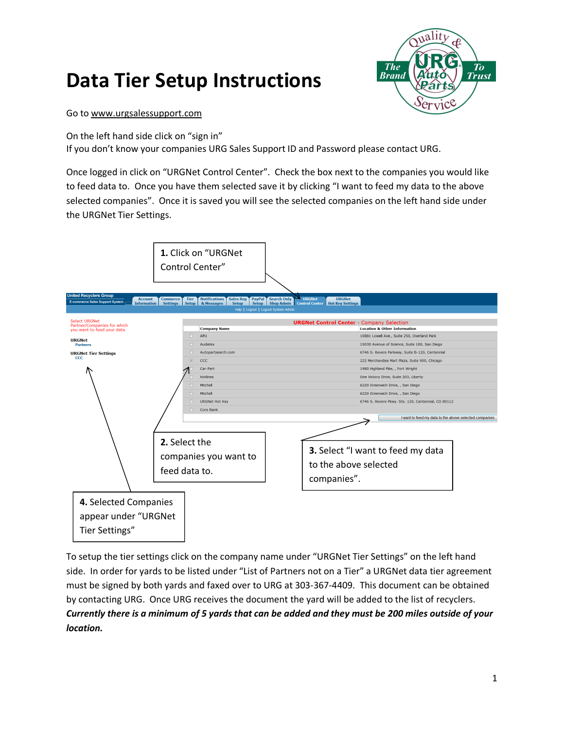# **Data Tier Setup Instructions**



#### Go to [www.urgsalessupport.com](http://www.urgsalessupport.com/)

On the left hand side click on "sign in"

Г

If you don't know your companies URG Sales Support ID and Password please contact URG.

Once logged in click on "URGNet Control Center". Check the box next to the companies you would like to feed data to. Once you have them selected save it by clicking "I want to feed my data to the above selected companies". Once it is saved you will see the selected companies on the left hand side under the URGNet Tier Settings.

|                                                                                                                                                              | 1. Click on "URGNet<br>Control Center"                                                                                                                                                                 |                                                                                                                                                                                                                                                                                                                                                                                                                                                                                                                 |
|--------------------------------------------------------------------------------------------------------------------------------------------------------------|--------------------------------------------------------------------------------------------------------------------------------------------------------------------------------------------------------|-----------------------------------------------------------------------------------------------------------------------------------------------------------------------------------------------------------------------------------------------------------------------------------------------------------------------------------------------------------------------------------------------------------------------------------------------------------------------------------------------------------------|
| <b>United Recyclers Group</b><br><b>Account</b><br><b>E-commerce Sales Support System</b><br><b>Information</b>                                              | <b>Notifications</b><br>Sales Rep   PayPal   Search Only<br><b>Commerce</b><br><b>Tier</b><br><b>Setup</b><br><b>Settings</b><br>Setup<br>& Messages<br><b>Setup</b>                                   | <b>URGNet</b><br><b>URGNet</b><br><b>Shop Admin</b> Control Center   Hot Key Settings<br>Help   Logout   Logout System Admin                                                                                                                                                                                                                                                                                                                                                                                    |
| <b>Select URGNet</b><br>Partner/Companies for which<br>you want to feed your data.<br><b>URGNet</b><br><b>Partners</b><br><b>URGNet Tier Settings</b><br>ccc | <b>Company Name</b><br>m<br><b>APU</b><br>m<br>Audatex<br>o<br>Autopartsearch.com<br>$\overline{v}$<br>CCC<br>Car-Part<br><b>Hotlines</b><br>Mitchell<br><b>Mitchell</b><br>n<br><b>URGNet Hot Key</b> | <b>URGNet Control Center - Company Selection</b><br><b>Location &amp; Other Information</b><br>10881 Lowell Ave., Suite 250, Overland Park<br>15030 Avenue of Science, Suite 100, San Diego<br>6746 S. Revere Parkway, Suite B-120, Centennial<br>222 Merchandise Mart Plaza, Suite 900, Chicago<br>1980 Highland Pike, , Fort Wright<br>One Victory Drive, Suite 203, Liberty<br>6220 Greenwich Drive, , San Diego<br>6220 Greenwich Drive, , San Diego<br>6746 S. Revere Pkwy. Ste. 120, Centennial, CO 80112 |
| 4. Selected Companies                                                                                                                                        | 同<br>Core Bank<br>2. Select the<br>companies you want to<br>feed data to.                                                                                                                              | I want to feed my data to the above selected companies<br><b>3.</b> Select "I want to feed my data<br>to the above selected<br>companies".                                                                                                                                                                                                                                                                                                                                                                      |
| appear under "URGNet<br>Tier Settings"                                                                                                                       |                                                                                                                                                                                                        |                                                                                                                                                                                                                                                                                                                                                                                                                                                                                                                 |

To setup the tier settings click on the company name under "URGNet Tier Settings" on the left hand side. In order for yards to be listed under "List of Partners not on a Tier" a URGNet data tier agreement must be signed by both yards and faxed over to URG at 303-367-4409. This document can be obtained by contacting URG. Once URG receives the document the yard will be added to the list of recyclers. *Currently there is a minimum of 5 yards that can be added and they must be 200 miles outside of your location.*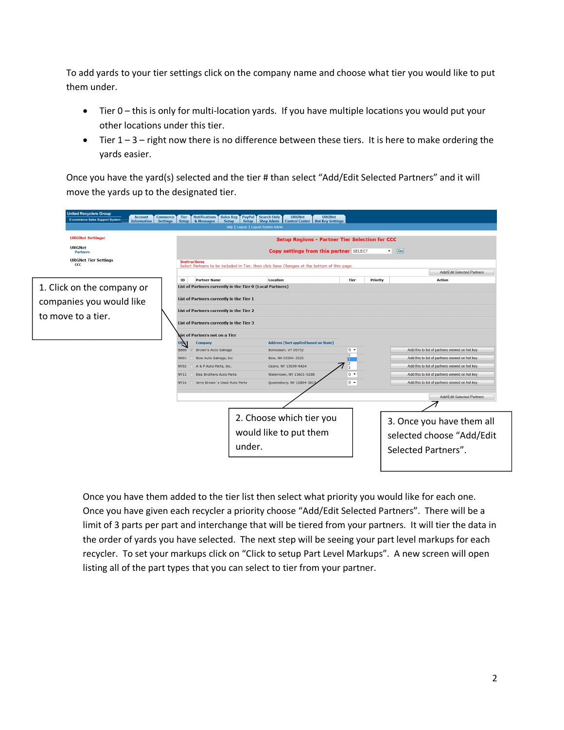To add yards to your tier settings click on the company name and choose what tier you would like to put them under.

- · Tier 0 this is only for multi-location yards. If you have multiple locations you would put your other locations under this tier.
- Tier  $1 3 -$  right now there is no difference between these tiers. It is here to make ordering the yards easier.

Once you have the yard(s) selected and the tier # than select "Add/Edit Selected Partners" and it will move the yards up to the designated tier.

| <b>United Recyclers Group</b><br><b>Account</b><br><b>Commerce</b><br><b>E-commerce Sales Support System</b><br><b>Settings</b><br><b>Information</b> | <b>Notifications</b><br><b>Sales Rep</b><br>PayPal<br><b>Tier</b><br><b>Setup</b><br>Setup  <br>& Messages<br><b>Setup</b><br>Help   Logout   Logout System Admin                                                                                                                     | <b>Search Only</b><br><b>URGNet</b><br><b>URGNet</b><br><b>Shop Admin</b><br><b>Control Center   Hot Key Settings</b> |                                |                                                                               |  |
|-------------------------------------------------------------------------------------------------------------------------------------------------------|---------------------------------------------------------------------------------------------------------------------------------------------------------------------------------------------------------------------------------------------------------------------------------------|-----------------------------------------------------------------------------------------------------------------------|--------------------------------|-------------------------------------------------------------------------------|--|
| <b>URGNet Settings:</b><br><b>URGNet</b><br><b>Partners</b><br><b>URGNet Tier Settings</b><br>$_{\rm ccc}$                                            | <b>Setup Regions - Partner Tier Selection for CCC</b><br>$\boxed{Go}$<br><b>Copy settings from this partner SELECT</b><br>۰<br><b>Instructions</b><br>Select Partners to be included in Tier, then click Save Changes at the bottom of this page<br><b>Add/Edit Selected Partners</b> |                                                                                                                       |                                |                                                                               |  |
|                                                                                                                                                       | <b>Partner Name</b><br>ID                                                                                                                                                                                                                                                             | <b>Location</b>                                                                                                       | <b>Tier</b><br><b>Priority</b> | <b>Action</b>                                                                 |  |
| 1. Click on the company or                                                                                                                            | List of Partners currently in the Tier 0 (Local Partners)                                                                                                                                                                                                                             |                                                                                                                       |                                |                                                                               |  |
| companies you would like                                                                                                                              | List of Partners currently in the Tier 1                                                                                                                                                                                                                                              |                                                                                                                       |                                |                                                                               |  |
|                                                                                                                                                       | List of Partners currently in the Tier 2                                                                                                                                                                                                                                              |                                                                                                                       |                                |                                                                               |  |
| to move to a tier.                                                                                                                                    | List of Partners currently in the Tier 3                                                                                                                                                                                                                                              |                                                                                                                       |                                |                                                                               |  |
|                                                                                                                                                       | List of Partners not on a Tier                                                                                                                                                                                                                                                        |                                                                                                                       |                                |                                                                               |  |
|                                                                                                                                                       | URG<br>Company                                                                                                                                                                                                                                                                        | <b>Address (Sort applied based on State)</b>                                                                          |                                |                                                                               |  |
|                                                                                                                                                       | <b>BB86</b><br>7 Brown's Auto Salvage                                                                                                                                                                                                                                                 | Bomoseen, VT 05732                                                                                                    | $0 -$<br>0                     | Add this to list of partners viewed on hot key                                |  |
|                                                                                                                                                       | Bow Auto Salvage, Inc<br><b>NH01</b>                                                                                                                                                                                                                                                  | Bow, NH 03304-3325                                                                                                    | $\overline{2}$                 | Add this to list of partners viewed on hot key                                |  |
|                                                                                                                                                       | A & P Auto Parts, Inc.<br><b>NY02</b>                                                                                                                                                                                                                                                 | Cicero, NY 13039-9424                                                                                                 | 13                             | Add this to list of partners viewed on hot key                                |  |
|                                                                                                                                                       | <b>NY12</b><br><b>Fiss Brothers Auto Parts</b>                                                                                                                                                                                                                                        | Watertown, NY 13601-5208                                                                                              | $0 -$                          | Add this to list of partners viewed on hot key                                |  |
|                                                                                                                                                       | Derry Brown's Used Auto Parts<br><b>NY16</b>                                                                                                                                                                                                                                          | Queensbury, NY 12804-3815                                                                                             | $0 -$                          | Add this to list of partners viewed on hot key                                |  |
|                                                                                                                                                       |                                                                                                                                                                                                                                                                                       |                                                                                                                       |                                | <b>Add/Edit Selected Partners</b>                                             |  |
|                                                                                                                                                       |                                                                                                                                                                                                                                                                                       |                                                                                                                       |                                |                                                                               |  |
|                                                                                                                                                       | under.                                                                                                                                                                                                                                                                                | 2. Choose which tier you<br>would like to put them                                                                    |                                | 3. Once you have them all<br>selected choose "Add/Edit<br>Selected Partners". |  |

Once you have them added to the tier list then select what priority you would like for each one. Once you have given each recycler a priority choose "Add/Edit Selected Partners". There will be a limit of 3 parts per part and interchange that will be tiered from your partners. It will tier the data in the order of yards you have selected. The next step will be seeing your part level markups for each recycler. To set your markups click on "Click to setup Part Level Markups". A new screen will open listing all of the part types that you can select to tier from your partner.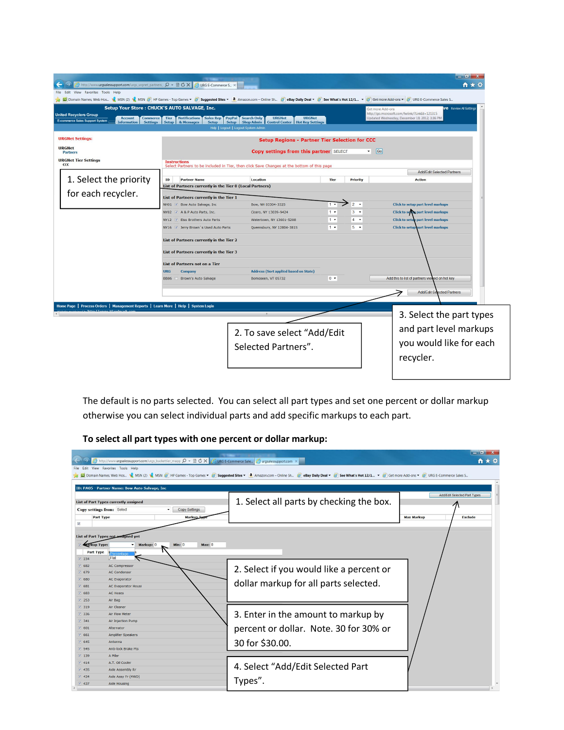| http://www.urgsalessupport.com/urgs_urgnet_partners_ Q - 圆 O X   @ URG E-Commerce S ><br>File Edit<br>View Favorites Tools Help                                                                                             |                                                                                                       |                                                                                                                |       |                 | n x                                                                                                                                                |
|-----------------------------------------------------------------------------------------------------------------------------------------------------------------------------------------------------------------------------|-------------------------------------------------------------------------------------------------------|----------------------------------------------------------------------------------------------------------------|-------|-----------------|----------------------------------------------------------------------------------------------------------------------------------------------------|
| <b>MESALE ARTICIPITY</b> See What's Hot 12/1 ▼ Get more Add-ons ▼ MESALE Commerce Sales S A chargested Sites ▼ <b>a</b> Amazon.com - Online Sh ● eBay Daily Deal ▼ a See What's Hot 12/1 ▼ ● Get more Add-ons ▼ ● URG E-Com |                                                                                                       |                                                                                                                |       |                 |                                                                                                                                                    |
| Setup Your Store: CHUCK'S AUTO SALVAGE, Inc.<br><b>United Recyclers Group</b><br><b>Account</b><br><b>Commerce</b><br><b>E-commerce Sales Support System</b><br><b>Information</b><br><b>Settings</b>                       | Tier<br><b>Notifications</b><br><b>Sales Rep</b><br><b>Setup</b><br><b>Setup</b><br>& Messages        | <b>URGNet</b><br>PayPal Search Only<br><b>URGNet</b><br>Setup   Shop Admin   Control Center   Hot Key Settings |       |                 | <b>Ve</b> Review Al Settings<br>Get more Add-ons<br>http://go.microsoft.com/fwlink/?LinkId=121315<br>Updated Wednesday, December 19, 2012, 3:36 PM |
|                                                                                                                                                                                                                             |                                                                                                       | Help   Logout   Logout System Admin                                                                            |       |                 |                                                                                                                                                    |
| <b>URGNet Settings:</b>                                                                                                                                                                                                     |                                                                                                       | <b>Setup Regions - Partner Tier Selection for CCC</b>                                                          |       |                 |                                                                                                                                                    |
| <b>URGNet</b><br><b>Partners</b>                                                                                                                                                                                            |                                                                                                       | <b>Copy settings from this partner SELECT</b>                                                                  |       |                 | $\bullet$ Go                                                                                                                                       |
| <b>URGNet Tier Settings</b><br>CCC                                                                                                                                                                                          | <b>Instructions</b>                                                                                   | Select Partners to be included in Tier, then click Save Changes at the bottom of this page                     |       |                 |                                                                                                                                                    |
|                                                                                                                                                                                                                             |                                                                                                       |                                                                                                                |       |                 | Add/Edit Selected Partners                                                                                                                         |
| 1. Select the priority                                                                                                                                                                                                      | ID<br><b>Partner Name</b>                                                                             | <b>Location</b>                                                                                                | Tier  | <b>Priority</b> | <b>Action</b>                                                                                                                                      |
| for each recycler.                                                                                                                                                                                                          | List of Partners currently in the Tier 0 (Local Partners)<br>List of Partners currently in the Tier 1 |                                                                                                                |       |                 |                                                                                                                                                    |
|                                                                                                                                                                                                                             | NH01 V Bow Auto Salvage, Inc                                                                          | Bow, NH 03304-3325                                                                                             | $1 -$ | $2 -$           | <b>Click to setup part level markups</b>                                                                                                           |
|                                                                                                                                                                                                                             | NY02 Z A & P Auto Parts, Inc.                                                                         | Cicero, NY 13039-9424                                                                                          | $1 -$ | $3 - 7$         | <b>Click to setting part level markups</b>                                                                                                         |
|                                                                                                                                                                                                                             | NY12 V Eiss Brothers Auto Parts                                                                       | Watertown, NY 13601-5208                                                                                       | $1 -$ | $4 - 7$         | <b>Click to setup part level markups</b>                                                                                                           |
|                                                                                                                                                                                                                             | NY16 7 Jerry Brown's Used Auto Parts                                                                  | Queensbury, NY 12804-3815                                                                                      | $1 -$ | $5 -$           | <b>Click to setup part level markups</b>                                                                                                           |
|                                                                                                                                                                                                                             | List of Partners currently in the Tier 2                                                              |                                                                                                                |       |                 |                                                                                                                                                    |
|                                                                                                                                                                                                                             | List of Partners currently in the Tier 3                                                              |                                                                                                                |       |                 |                                                                                                                                                    |
|                                                                                                                                                                                                                             | List of Partners not on a Tier                                                                        |                                                                                                                |       |                 |                                                                                                                                                    |
|                                                                                                                                                                                                                             | <b>URG</b><br>Company                                                                                 | <b>Address (Sort applied based on State)</b>                                                                   |       |                 |                                                                                                                                                    |
|                                                                                                                                                                                                                             | <b>BB86</b><br>Brown's Auto Salvage                                                                   | Bomoseen, VT 05732                                                                                             | $0 -$ |                 | Add this to list of partners viewed on hot key                                                                                                     |
|                                                                                                                                                                                                                             |                                                                                                       |                                                                                                                |       |                 | <b>Add/Edit Selected Partners</b>                                                                                                                  |
| Home Page   Process Orders   Management Reports   Learn More   Help   System Login                                                                                                                                          |                                                                                                       |                                                                                                                |       |                 |                                                                                                                                                    |
|                                                                                                                                                                                                                             |                                                                                                       |                                                                                                                |       |                 | 3. Select the part types                                                                                                                           |
|                                                                                                                                                                                                                             |                                                                                                       | 2. To save select "Add/Edit<br>Selected Partners".                                                             |       |                 | and part level markups<br>you would like for each<br>recycler.                                                                                     |

The default is no parts selected. You can select all part types and set one percent or dollar markup otherwise you can select individual parts and add specific markups to each part.

## **To select all part types with one percent or dollar markup:**

| File                                                                                     | $\Theta$ http://www.urgsalessupport.com/urgs_buckettier_mapp $\Omega \times \mathbb{R} \bullet X$ / $\Theta$ URG E-Commerce Sale $\Theta$ urgsalessupport.com $\times$<br>Edit View Favorites Tools Help      | <b>M</b> Domain Names, Web Hos W MSN (2) W MSN (2) HP Games - Top Games ▼ 8 Suggested Sites ▼ 8 Amazon.com - Online Sh 8 eBay Daily Deal ▼ 8 Get What's Hot 12/1 ▼ 8 Get more Add-ons ▼ 8 URG E-Commerce Sales S | $-$ 0 $\mathbf{X}$<br>n ★ <u>Ω</u>                                  |
|------------------------------------------------------------------------------------------|---------------------------------------------------------------------------------------------------------------------------------------------------------------------------------------------------------------|------------------------------------------------------------------------------------------------------------------------------------------------------------------------------------------------------------------|---------------------------------------------------------------------|
| $\overline{\mathsf{v}}$                                                                  | ID: PA05 - Partner Name: Bow Auto Salvage, Inc<br><b>List of Part Types currently assigned</b><br><b>Copy Settings</b><br>Copy settings from: Select<br>$\blacktriangledown$<br><b>Part Type</b><br>Markup Ty | 1. Select all parts by checking the box.                                                                                                                                                                         | Add/Edit Selected Part Types<br><b>Exclude</b><br><b>Max Markup</b> |
| <b>Karkup Type:</b><br>Part Type<br>$ J $ 234<br>V 682<br>$V$ 679<br>$\triangledown$ 680 | List of Part Types not assigned yet<br>Min: 0<br>Markup: 0<br>Max: 0<br>Percentage<br>Flat<br>AC Compressor<br><b>AC Condenser</b><br><b>AC Evaporator</b>                                                    | 2. Select if you would like a percent or                                                                                                                                                                         |                                                                     |
| $\vee$ 681<br>$ V $ 683<br>$V$ 253<br>$\sqrt{2}$ 319<br>$ 7 $ 336<br>$\sqrt{341}$        | <b>AC Evaporator Housi</b><br><b>AC Hoses</b><br>Air Bag<br>Air Cleaner<br>Air Flow Meter<br><b>Air Injection Pump</b>                                                                                        | dollar markup for all parts selected.<br>3. Enter in the amount to markup by                                                                                                                                     |                                                                     |
| $\triangledown$ 601<br>$ v $ 661<br>$ v $ 645<br>$\sqrt{545}$<br>$\sqrt{2}$ 139          | Alternator<br>Amplifier Speakers<br>Antenna<br><b>Anti-lock Brake Pts</b><br>A Pillar                                                                                                                         | percent or dollar. Note. 30 for 30% or<br>30 for \$30.00.                                                                                                                                                        |                                                                     |
| $\sqrt{414}$<br>$\triangledown$ 435<br>$\triangledown$ 434<br>$\sqrt{437}$               | A.T. Oil Cooler<br><b>Axle Assembly Rr</b><br>Axle Assy Fr (4WD)<br><b>Axle Housing</b>                                                                                                                       | 4. Select "Add/Edit Selected Part<br>Types".                                                                                                                                                                     |                                                                     |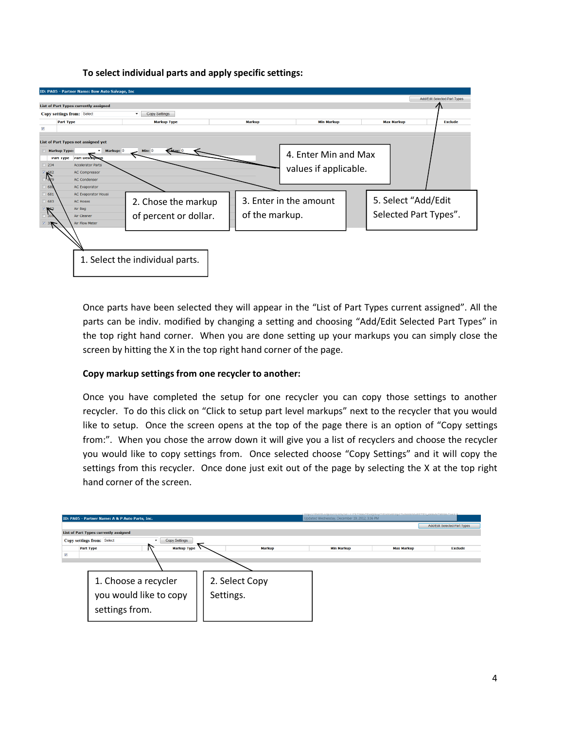**To select individual parts and apply specific settings:**



Once parts have been selected they will appear in the "List of Part Types current assigned". All the parts can be indiv. modified by changing a setting and choosing "Add/Edit Selected Part Types" in the top right hand corner. When you are done setting up your markups you can simply close the screen by hitting the X in the top right hand corner of the page.

#### **Copy markup settings from one recycler to another:**

Once you have completed the setup for one recycler you can copy those settings to another recycler. To do this click on "Click to setup part level markups" next to the recycler that you would like to setup. Once the screen opens at the top of the page there is an option of "Copy settings from:". When you chose the arrow down it will give you a list of recyclers and choose the recycler you would like to copy settings from. Once selected choose "Copy Settings" and it will copy the settings from this recycler. Once done just exit out of the page by selecting the X at the top right hand corner of the screen.